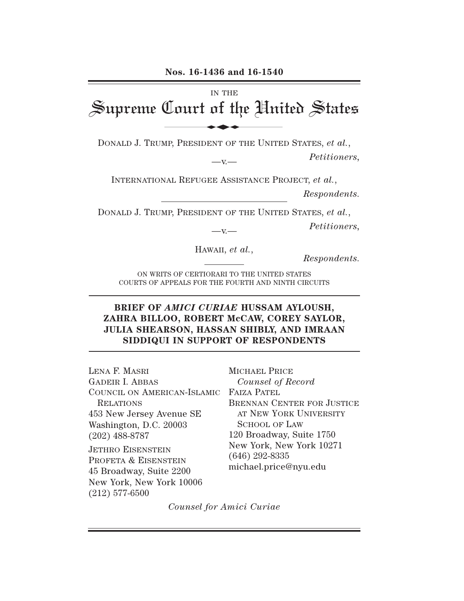IN THE Supreme Court of the United States Nos. 16-1436 and 16-1540

DONALD J. TRUMP, PRESIDENT OF THE UNITED STATES, *et al.*,

 $-v -$ 

*Petitioners,*

INTERNATIONAL REFUGEE ASSISTANCE PROJECT, *et al.*, *Respondents.*

DONALD J. TRUMP, PRESIDENT OF THE UNITED STATES, *et al.*,

 $-v -$ 

*Petitioners,*

HAWAII, *et al.*,

*Respondents.*

ON WRITS OF CERTIORARI TO THE UNITED STATES COURTS OF APPEALS FOR THE FOURTH AND NINTH CIRCUITS

## **BRIEF OF** *AMICI CURIAE* **HUSSAM AYLOUSH, ZAHRA BILLOO, ROBERT McCAW, COREY SAYLOR, JULIA SHEARSON, HASSAN SHIBLY, AND IMRAAN SIDDIQUI IN SUPPORT OF RESPONDENTS**

COUNCIL ON AMERICAN-ISLAMIC FAIZA PATEL LENA F. MASRI GADEIR I. ABBAS RELATIONS 453 New Jersey Avenue SE Washington, D.C. 20003 (202) 488-8787 JETHRO EISENSTEIN PROFETA & EISENSTEIN 45 Broadway, Suite 2200 New York, New York 10006 (212) 577-6500

MICHAEL PRICE *Counsel of Record* BRENNAN CENTER FOR JUSTICE AT NEW YORK UNIVERSITY SCHOOL OF LAW 120 Broadway, Suite 1750 New York, New York 10271 (646) 292-8335 michael.price@nyu.edu

*Counsel for Amici Curiae*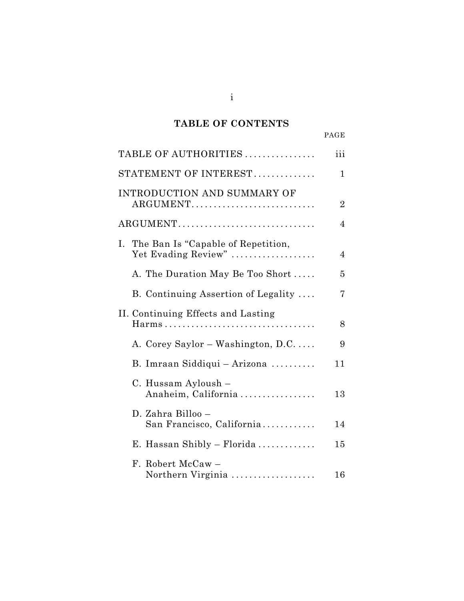# **TABLE OF CONTENTS**

|                                                              | PAGE           |
|--------------------------------------------------------------|----------------|
| TABLE OF AUTHORITIES                                         | iii            |
| STATEMENT OF INTEREST                                        | $\mathbf 1$    |
| INTRODUCTION AND SUMMARY OF<br>ARGUMENT                      | $\overline{2}$ |
| ARGUMENT                                                     | $\overline{4}$ |
| I. The Ban Is "Capable of Repetition,<br>Yet Evading Review" | $\overline{4}$ |
| A. The Duration May Be Too Short                             | 5              |
| B. Continuing Assertion of Legality                          | 7              |
| II. Continuing Effects and Lasting                           | 8              |
| A. Corey Saylor – Washington, D.C                            | 9              |
| B. Imraan Siddiqui - Arizona                                 | 11             |
| C. Hussam Ayloush -<br>Anaheim, California                   | 13             |
| D. Zahra Billoo –<br>San Francisco, California               | 14             |
| E. Hassan Shibly – Florida                                   | 15             |
| F. Robert McCaw -<br>Northern Virginia                       | 16             |

i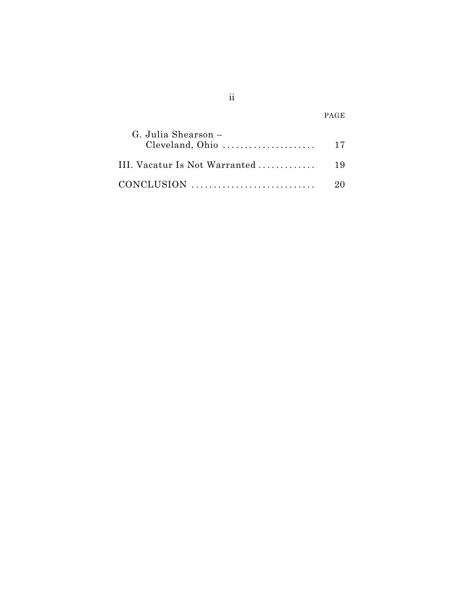|                                                                              | PAGE |
|------------------------------------------------------------------------------|------|
| G. Julia Shearson –<br>Cleveland, Ohio $\dots\dots\dots\dots\dots\dots\dots$ | -17  |
| III. Vacatur Is Not Warranted                                                | -19  |
|                                                                              |      |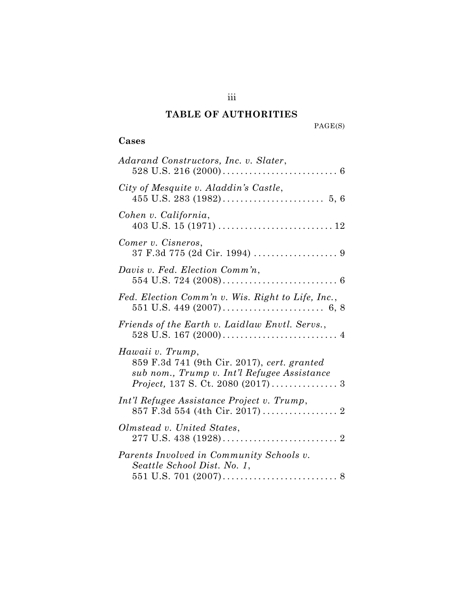## **TABLE OF AUTHORITIES**

PAGE(S)

## **Cases**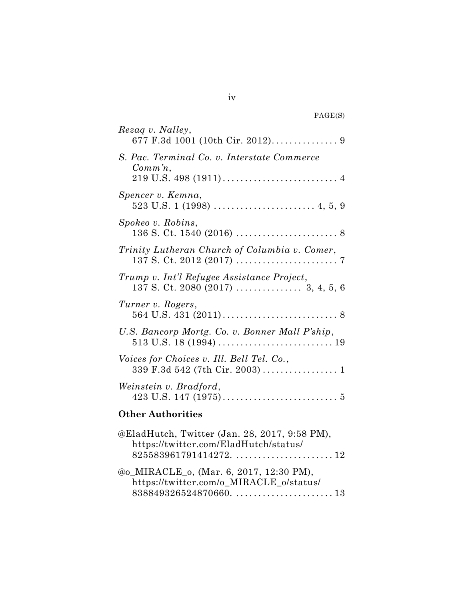| PAGE(S) |  |
|---------|--|
|---------|--|

| Rezag v. Nalley,                                                                                                                                                       |
|------------------------------------------------------------------------------------------------------------------------------------------------------------------------|
| S. Pac. Terminal Co. v. Interstate Commerce<br>$Comm'n$ ,                                                                                                              |
| Spencer v. Kemna,                                                                                                                                                      |
| Spokeo v. Robins,                                                                                                                                                      |
| Trinity Lutheran Church of Columbia v. Comer,                                                                                                                          |
| Trump v. Int'l Refugee Assistance Project,                                                                                                                             |
| Turner v. Rogers,                                                                                                                                                      |
| U.S. Bancorp Mortg. Co. v. Bonner Mall P'ship,                                                                                                                         |
| Voices for Choices v. Ill. Bell Tel. Co.,                                                                                                                              |
| Weinstein v. Bradford,                                                                                                                                                 |
| <b>Other Authorities</b>                                                                                                                                               |
| @EladHutch, Twitter (Jan. 28, 2017, 9:58 PM),<br>https://twitter.com/EladHutch/status/                                                                                 |
| @o_MIRACLE_o, (Mar. 6, 2017, 12:30 PM),<br>https://twitter.com/o_MIRACLE_o/status/<br>$838849326524870660. \ldots \ldots \ldots \ldots \ldots \ldots \ldots \ldots 13$ |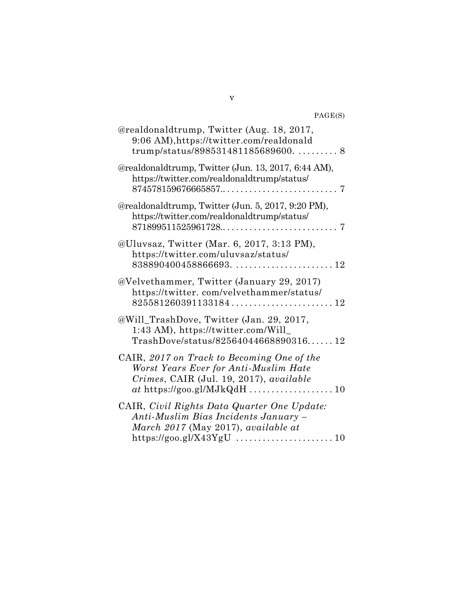#### PAGE(S)

| @realdonaldtrump, Twitter (Aug. 18, 2017,<br>9:06 AM), https://twitter.com/realdonald                                                                                             |
|-----------------------------------------------------------------------------------------------------------------------------------------------------------------------------------|
| @realdonaldtrump, Twitter (Jun. 13, 2017, 6:44 AM),<br>https://twitter.com/realdonaldtrump/status/                                                                                |
| @realdonaldtrump, Twitter (Jun. 5, 2017, 9:20 PM),<br>https://twitter.com/realdonaldtrump/status/<br>$871899511525961728 \ldots \ldots \ldots \ldots \ldots \ldots \ldots \ldots$ |
| @Uluvsaz, Twitter (Mar. 6, 2017, 3:13 PM),<br>https://twitter.com/uluvsaz/status/                                                                                                 |
| @Velvethammer, Twitter (January 29, 2017)<br>https://twitter.com/velvethammer/status/<br>825581260391133184                                                                       |
| @Will_TrashDove, Twitter (Jan. 29, 2017,<br>1:43 AM), https://twitter.com/Will_<br>$TranshDove/status/8256404466889031612$                                                        |
| CAIR, 2017 on Track to Becoming One of the<br>Worst Years Ever for Anti-Muslim Hate<br>Crimes, CAIR (Jul. 19, 2017), available                                                    |
| CAIR, Civil Rights Data Quarter One Update:<br>Anti-Muslim Bias Incidents January -<br>March 2017 (May 2017), available at                                                        |

v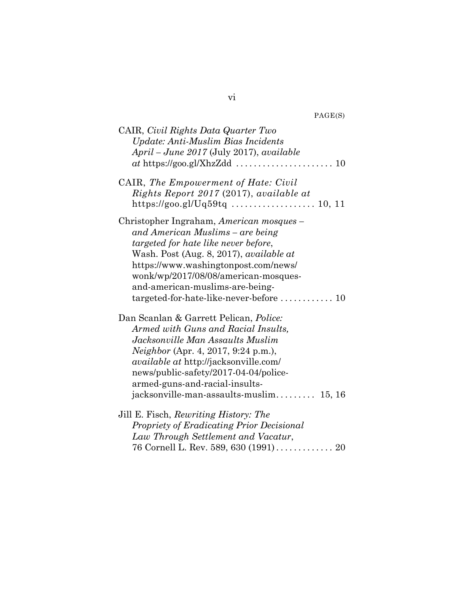| PAGE(S) |
|---------|
|---------|

| CAIR, Civil Rights Data Quarter Two<br>Update: Anti-Muslim Bias Incidents<br>April – June 2017 (July 2017), available                                                                                                                                                                                                                                      |
|------------------------------------------------------------------------------------------------------------------------------------------------------------------------------------------------------------------------------------------------------------------------------------------------------------------------------------------------------------|
| CAIR, The Empowerment of Hate: Civil<br>Rights Report 2017 (2017), available at                                                                                                                                                                                                                                                                            |
| Christopher Ingraham, American mosques –<br>and American Muslims – are being<br>targeted for hate like never before,<br>Wash. Post (Aug. 8, 2017), <i>available at</i><br>https://www.washingtonpost.com/news/<br>wonk/wp/2017/08/08/american-mosques-<br>and-american-muslims-are-being-<br>$targeted-for-hate-like-newer-before \ldots \ldots \ldots 10$ |
| Dan Scanlan & Garrett Pelican, <i>Police</i> :<br>Armed with Guns and Racial Insults,<br>Jacksonville Man Assaults Muslim<br>Neighbor (Apr. 4, 2017, 9:24 p.m.),<br><i>available at http://jacksonville.com/</i><br>news/public-safety/2017-04-04/police-<br>armed-guns-and-racial-insults-<br>jacksonville-man-assaults-muslim<br>15, 16                  |
| Jill E. Fisch, Rewriting History: The                                                                                                                                                                                                                                                                                                                      |
| Propriety of Eradicating Prior Decisional<br>Law Through Settlement and Vacatur,                                                                                                                                                                                                                                                                           |
| 76 Cornell L. Rev. 589, 630 (1991) 20                                                                                                                                                                                                                                                                                                                      |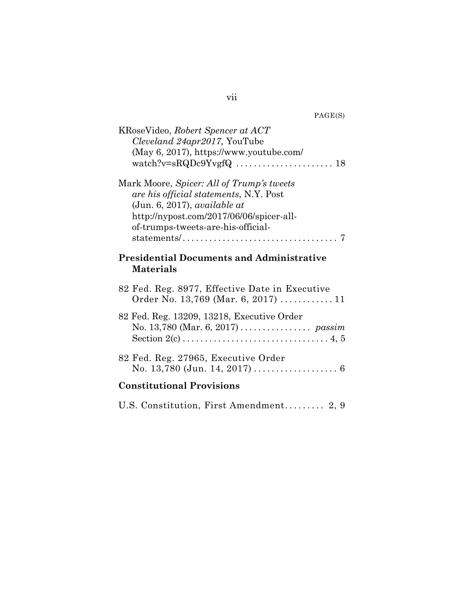| KRoseVideo, Robert Spencer at ACT<br>Cleveland 24apr2017, YouTube<br>(May 6, 2017), https://www.youtube.com/                                                                                          |
|-------------------------------------------------------------------------------------------------------------------------------------------------------------------------------------------------------|
| Mark Moore, Spicer: All of Trump's tweets<br>are his official statements, N.Y. Post<br>(Jun. 6, 2017), available at<br>http://nypost.com/2017/06/06/spicer-all-<br>of-trumps-tweets-are-his-official- |
| <b>Presidential Documents and Administrative</b><br><b>Materials</b>                                                                                                                                  |
| 82 Fed. Reg. 8977, Effective Date in Executive<br>Order No. 13,769 (Mar. 6, 2017)  11                                                                                                                 |
| 82 Fed. Reg. 13209, 13218, Executive Order                                                                                                                                                            |
| 82 Fed. Reg. 27965, Executive Order                                                                                                                                                                   |
| <b>Constitutional Provisions</b>                                                                                                                                                                      |
| U.S. Constitution, First Amendment 2, 9                                                                                                                                                               |

vii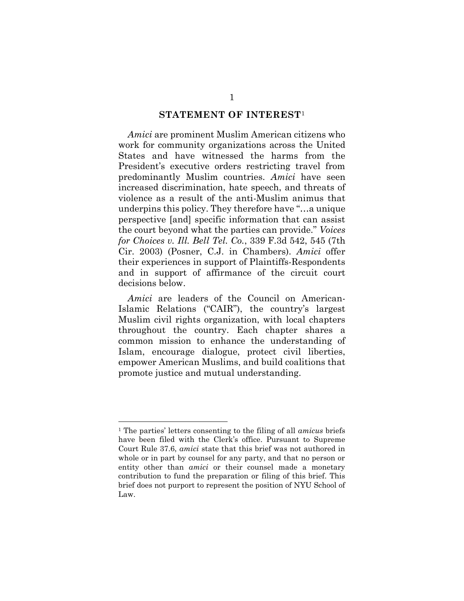#### **STATEMENT OF INTEREST**<sup>1</sup>

*Amici* are prominent Muslim American citizens who work for community organizations across the United States and have witnessed the harms from the President's executive orders restricting travel from predominantly Muslim countries. *Amici* have seen increased discrimination, hate speech, and threats of violence as a result of the anti-Muslim animus that underpins this policy. They therefore have "…a unique perspective [and] specific information that can assist the court beyond what the parties can provide." *Voices for Choices v. Ill. Bell Tel. Co.*, 339 F.3d 542, 545 (7th Cir. 2003) (Posner, C.J. in Chambers). *Amici* offer their experiences in support of Plaintiffs-Respondents and in support of affirmance of the circuit court decisions below.

*Amici* are leaders of the Council on American-Islamic Relations ("CAIR"), the country's largest Muslim civil rights organization, with local chapters throughout the country. Each chapter shares a common mission to enhance the understanding of Islam, encourage dialogue, protect civil liberties, empower American Muslims, and build coalitions that promote justice and mutual understanding.

<sup>1</sup> The parties' letters consenting to the filing of all *amicus* briefs have been filed with the Clerk's office. Pursuant to Supreme Court Rule 37.6, *amici* state that this brief was not authored in whole or in part by counsel for any party, and that no person or entity other than *amici* or their counsel made a monetary contribution to fund the preparation or filing of this brief. This brief does not purport to represent the position of NYU School of Law.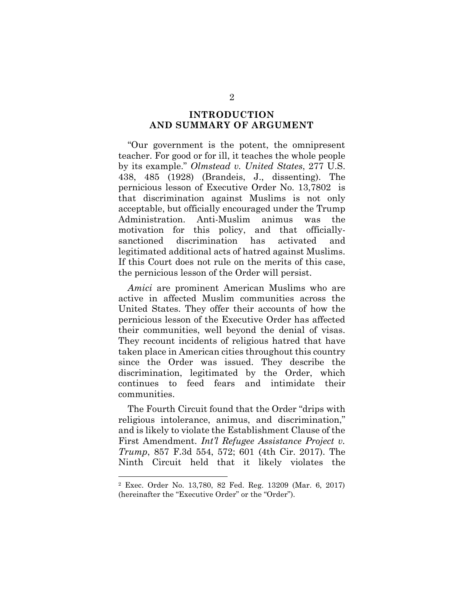## **INTRODUCTION AND SUMMARY OF ARGUMENT**

"Our government is the potent, the omnipresent teacher. For good or for ill, it teaches the whole people by its example." *Olmstead v. United States*, 277 U.S. 438, 485 (1928) (Brandeis, J., dissenting). The pernicious lesson of Executive Order No. 13,7802 is that discrimination against Muslims is not only acceptable, but officially encouraged under the Trump Administration. Anti-Muslim animus was the motivation for this policy, and that officiallysanctioned discrimination has activated and legitimated additional acts of hatred against Muslims. If this Court does not rule on the merits of this case, the pernicious lesson of the Order will persist.

*Amici* are prominent American Muslims who are active in affected Muslim communities across the United States. They offer their accounts of how the pernicious lesson of the Executive Order has affected their communities, well beyond the denial of visas. They recount incidents of religious hatred that have taken place in American cities throughout this country since the Order was issued. They describe the discrimination, legitimated by the Order, which continues to feed fears and intimidate their communities.

The Fourth Circuit found that the Order "drips with religious intolerance, animus, and discrimination," and is likely to violate the Establishment Clause of the First Amendment. *Int'l Refugee Assistance Project v. Trump*, 857 F.3d 554, 572; 601 (4th Cir. 2017). The Ninth Circuit held that it likely violates the

<sup>2</sup> Exec. Order No. 13,780, 82 Fed. Reg. 13209 (Mar. 6, 2017) (hereinafter the "Executive Order" or the "Order").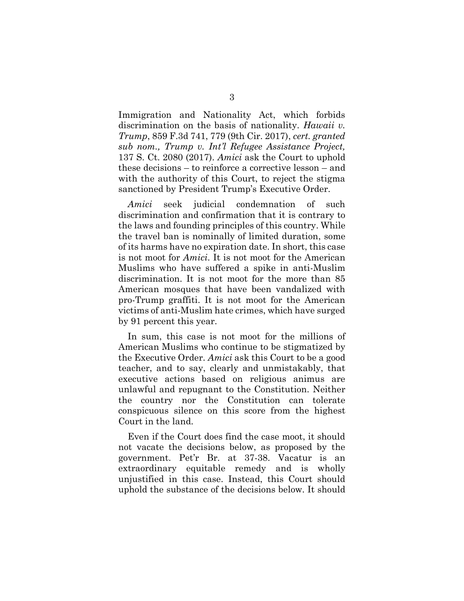Immigration and Nationality Act, which forbids discrimination on the basis of nationality. *Hawaii v. Trump*, 859 F.3d 741, 779 (9th Cir. 2017), *cert. granted sub nom., Trump v. Int'l Refugee Assistance Project,*  137 S. Ct. 2080 (2017). *Amici* ask the Court to uphold these decisions – to reinforce a corrective lesson – and with the authority of this Court, to reject the stigma sanctioned by President Trump's Executive Order.

*Amici* seek judicial condemnation of such discrimination and confirmation that it is contrary to the laws and founding principles of this country. While the travel ban is nominally of limited duration, some of its harms have no expiration date. In short, this case is not moot for *Amici*. It is not moot for the American Muslims who have suffered a spike in anti-Muslim discrimination. It is not moot for the more than 85 American mosques that have been vandalized with pro-Trump graffiti. It is not moot for the American victims of anti-Muslim hate crimes, which have surged by 91 percent this year.

In sum, this case is not moot for the millions of American Muslims who continue to be stigmatized by the Executive Order. *Amici* ask this Court to be a good teacher, and to say, clearly and unmistakably, that executive actions based on religious animus are unlawful and repugnant to the Constitution. Neither the country nor the Constitution can tolerate conspicuous silence on this score from the highest Court in the land.

Even if the Court does find the case moot, it should not vacate the decisions below, as proposed by the government. Pet'r Br. at 37-38. Vacatur is an extraordinary equitable remedy and is wholly unjustified in this case. Instead, this Court should uphold the substance of the decisions below. It should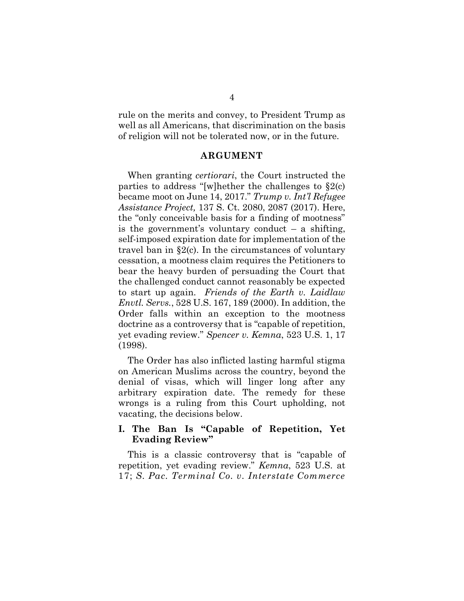rule on the merits and convey, to President Trump as well as all Americans, that discrimination on the basis of religion will not be tolerated now, or in the future.

#### **ARGUMENT**

When granting *certiorari*, the Court instructed the parties to address "[w]hether the challenges to  $\S2(c)$ became moot on June 14, 2017." *Trump v. Int'l Refugee Assistance Project,* 137 S. Ct. 2080, 2087 (2017). Here, the "only conceivable basis for a finding of mootness" is the government's voluntary conduct – a shifting, self-imposed expiration date for implementation of the travel ban in §2(c). In the circumstances of voluntary cessation, a mootness claim requires the Petitioners to bear the heavy burden of persuading the Court that the challenged conduct cannot reasonably be expected to start up again. *Friends of the Earth v. Laidlaw Envtl. Servs.*, 528 U.S. 167, 189 (2000). In addition, the Order falls within an exception to the mootness doctrine as a controversy that is "capable of repetition, yet evading review." *Spencer v. Kemna*, 523 U.S. 1, 17 (1998).

The Order has also inflicted lasting harmful stigma on American Muslims across the country, beyond the denial of visas, which will linger long after any arbitrary expiration date. The remedy for these wrongs is a ruling from this Court upholding, not vacating, the decisions below.

#### **I. The Ban Is "Capable of Repetition, Yet Evading Review"**

This is a classic controversy that is "capable of repetition, yet evading review." *Kemna*, 523 U.S. at 17; *S. Pac. Terminal Co. v. Interstate Commerce*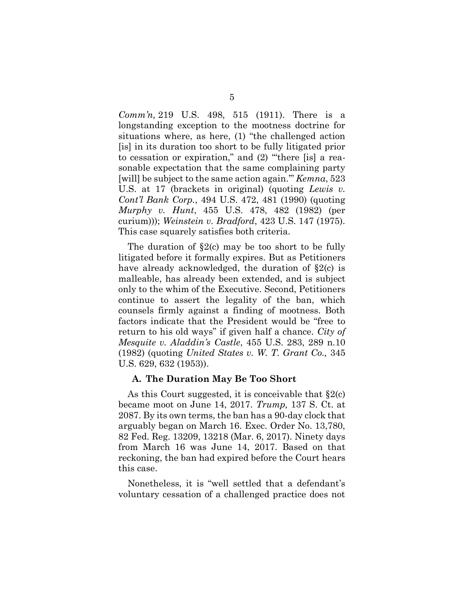*Comm'n,* 219 U.S. 498, 515 (1911). There is a longstanding exception to the mootness doctrine for situations where, as here, (1) "the challenged action [is] in its duration too short to be fully litigated prior to cessation or expiration," and (2) "'there [is] a reasonable expectation that the same complaining party [will] be subject to the same action again.'" *Kemna*, 523 U.S. at 17 (brackets in original) (quoting *Lewis v. Cont'l Bank Corp.*, 494 U.S. 472, 481 (1990) (quoting *Murphy v. Hunt*, 455 U.S. 478, 482 (1982) (per curium))); *Weinstein v. Bradford*, 423 U.S. 147 (1975). This case squarely satisfies both criteria.

The duration of  $\S2(c)$  may be too short to be fully litigated before it formally expires. But as Petitioners have already acknowledged, the duration of §2(c) is malleable, has already been extended, and is subject only to the whim of the Executive. Second, Petitioners continue to assert the legality of the ban, which counsels firmly against a finding of mootness. Both factors indicate that the President would be "free to return to his old ways" if given half a chance. *City of Mesquite v. Aladdin's Castle*, 455 U.S. 283, 289 n.10 (1982) (quoting *United States v. W. T. Grant Co.,* 345 U.S. 629, 632 (1953)).

#### **A. The Duration May Be Too Short**

As this Court suggested, it is conceivable that  $\S2(c)$ became moot on June 14, 2017. *Trump,* 137 S. Ct. at 2087. By its own terms, the ban has a 90-day clock that arguably began on March 16. Exec. Order No. 13,780, 82 Fed. Reg. 13209, 13218 (Mar. 6, 2017). Ninety days from March 16 was June 14, 2017. Based on that reckoning, the ban had expired before the Court hears this case.

Nonetheless, it is "well settled that a defendant's voluntary cessation of a challenged practice does not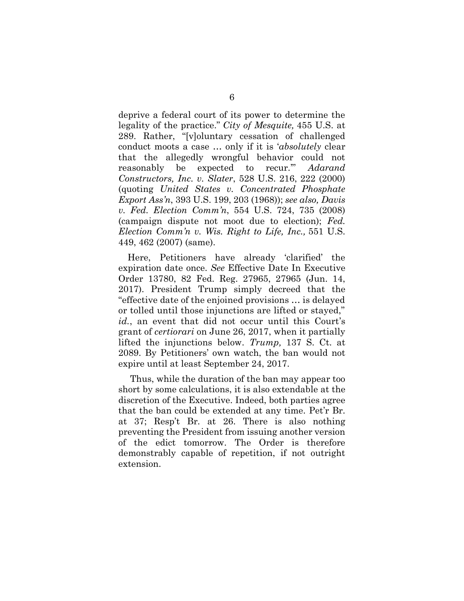deprive a federal court of its power to determine the legality of the practice." *City of Mesquite,* 455 U.S. at 289. Rather, "[v]oluntary cessation of challenged conduct moots a case … only if it is '*absolutely* clear that the allegedly wrongful behavior could not reasonably be expected to recur.'" *Adarand Constructors, Inc. v. Slater*, 528 U.S. 216, 222 (2000) (quoting *United States v. Concentrated Phosphate Export Ass'n*, 393 U.S. 199, 203 (1968)); *see also, Davis v. Fed. Election Comm'n*, 554 U.S. 724, 735 (2008) (campaign dispute not moot due to election); *Fed. Election Comm'n v. Wis. Right to Life, Inc.,* 551 U.S. 449, 462 (2007) (same).

Here, Petitioners have already 'clarified' the expiration date once. *See* Effective Date In Executive Order 13780, 82 Fed. Reg. 27965, 27965 (Jun. 14, 2017). President Trump simply decreed that the "effective date of the enjoined provisions … is delayed or tolled until those injunctions are lifted or stayed," *id.*, an event that did not occur until this Court's grant of *certiorari* on June 26, 2017, when it partially lifted the injunctions below. *Trump,* 137 S. Ct. at 2089. By Petitioners' own watch, the ban would not expire until at least September 24, 2017.

Thus, while the duration of the ban may appear too short by some calculations, it is also extendable at the discretion of the Executive. Indeed, both parties agree that the ban could be extended at any time. Pet'r Br. at 37; Resp't Br. at 26. There is also nothing preventing the President from issuing another version of the edict tomorrow. The Order is therefore demonstrably capable of repetition, if not outright extension.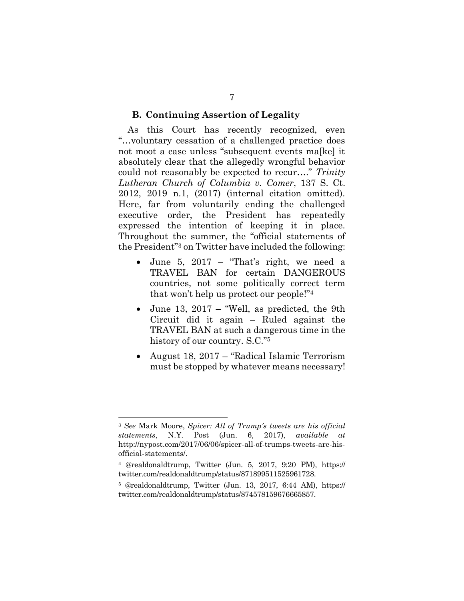#### **B. Continuing Assertion of Legality**

As this Court has recently recognized, even "…voluntary cessation of a challenged practice does not moot a case unless "subsequent events ma[ke] it absolutely clear that the allegedly wrongful behavior could not reasonably be expected to recur…." *Trinity Lutheran Church of Columbia v. Comer*, 137 S. Ct. 2012, 2019 n.1, (2017) (internal citation omitted). Here, far from voluntarily ending the challenged executive order, the President has repeatedly expressed the intention of keeping it in place. Throughout the summer, the "official statements of the President"<sup>3</sup> on Twitter have included the following:

- June 5, 2017 "That's right, we need a TRAVEL BAN for certain DANGEROUS countries, not some politically correct term that won't help us protect our people!" 4
- June 13, 2017 "Well, as predicted, the 9th Circuit did it again – Ruled against the TRAVEL BAN at such a dangerous time in the history of our country. S.C."<sup>5</sup>
- August 18, 2017 "Radical Islamic Terrorism must be stopped by whatever means necessary!

<sup>3</sup> *See* Mark Moore, *Spicer: All of Trump's tweets are his official statements*, N.Y. Post (Jun. 6, 2017), *available at* http://nypost.com/2017/06/06/spicer-all-of-trumps-tweets-are-hisofficial-statements/.

<sup>4</sup> @realdonaldtrump, Twitter (Jun. 5, 2017, 9:20 PM), https:// twitter.com/realdonaldtrump/status/871899511525961728.

<sup>5</sup> @realdonaldtrump, Twitter (Jun. 13, 2017, 6:44 AM), https:// twitter.com/realdonaldtrump/status/874578159676665857.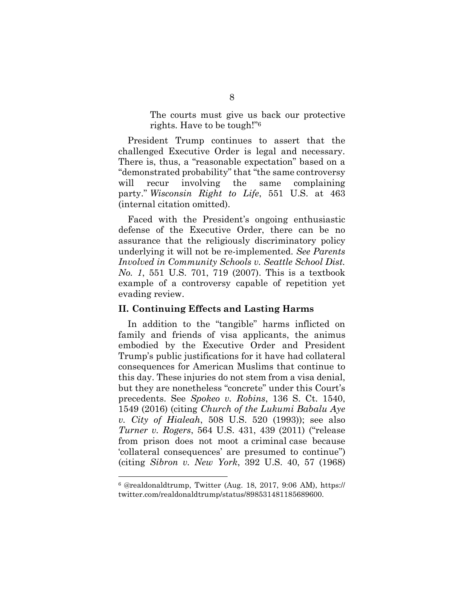The courts must give us back our protective rights. Have to be tough!" 6

President Trump continues to assert that the challenged Executive Order is legal and necessary. There is, thus, a "reasonable expectation" based on a "demonstrated probability" that "the same controversy will recur involving the same complaining party." *Wisconsin Right to Life*, 551 U.S. at 463 (internal citation omitted).

Faced with the President's ongoing enthusiastic defense of the Executive Order, there can be no assurance that the religiously discriminatory policy underlying it will not be re-implemented. *See Parents Involved in Community Schools v. Seattle School Dist. No. 1*, 551 U.S. 701, 719 (2007). This is a textbook example of a controversy capable of repetition yet evading review.

#### **II. Continuing Effects and Lasting Harms**

In addition to the "tangible" harms inflicted on family and friends of visa applicants, the animus embodied by the Executive Order and President Trump's public justifications for it have had collateral consequences for American Muslims that continue to this day. These injuries do not stem from a visa denial, but they are nonetheless "concrete" under this Court's precedents. See *Spokeo v. Robins*, 136 S. Ct. 1540, 1549 (2016) (citing *Church of the Lukumi Babalu Aye v. City of Hialeah*, 508 U.S. 520 (1993)); see also *Turner v. Rogers*, 564 U.S. 431, 439 (2011) ("release from prison does not moot a criminal case because 'collateral consequences' are presumed to continue") (citing *Sibron v. New York*, 392 U.S. 40, 57 (1968)

 $6$  @realdonaldtrump, Twitter (Aug. 18, 2017, 9:06 AM), https:// twitter.com/realdonaldtrump/status/898531481185689600.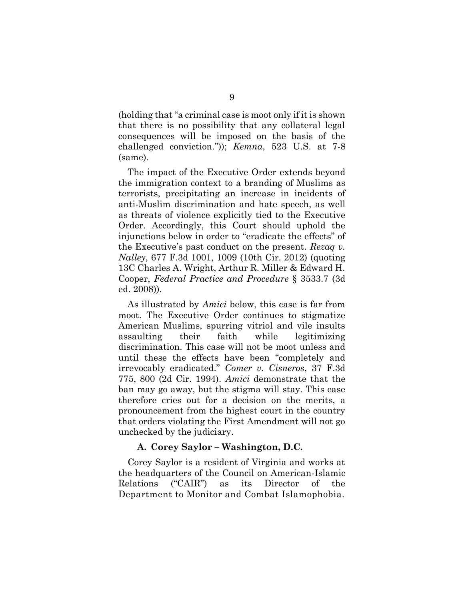(holding that "a criminal case is moot only if it is shown that there is no possibility that any collateral legal consequences will be imposed on the basis of the challenged conviction.")); *Kemna*, 523 U.S. at 7-8 (same).

The impact of the Executive Order extends beyond the immigration context to a branding of Muslims as terrorists, precipitating an increase in incidents of anti-Muslim discrimination and hate speech, as well as threats of violence explicitly tied to the Executive Order. Accordingly, this Court should uphold the injunctions below in order to "eradicate the effects" of the Executive's past conduct on the present. *Rezaq v. Nalley*, 677 F.3d 1001, 1009 (10th Cir. 2012) (quoting 13C Charles A. Wright, Arthur R. Miller & Edward H. Cooper, *Federal Practice and Procedure* § 3533.7 (3d ed. 2008)).

As illustrated by *Amici* below, this case is far from moot. The Executive Order continues to stigmatize American Muslims, spurring vitriol and vile insults assaulting their faith while legitimizing discrimination. This case will not be moot unless and until these the effects have been "completely and irrevocably eradicated." *Comer v. Cisneros*, 37 F.3d 775, 800 (2d Cir. 1994). *Amici* demonstrate that the ban may go away, but the stigma will stay. This case therefore cries out for a decision on the merits, a pronouncement from the highest court in the country that orders violating the First Amendment will not go unchecked by the judiciary.

#### **A. Corey Saylor – Washington, D.C.**

Corey Saylor is a resident of Virginia and works at the headquarters of the Council on American-Islamic Relations ("CAIR") as its Director of the Department to Monitor and Combat Islamophobia.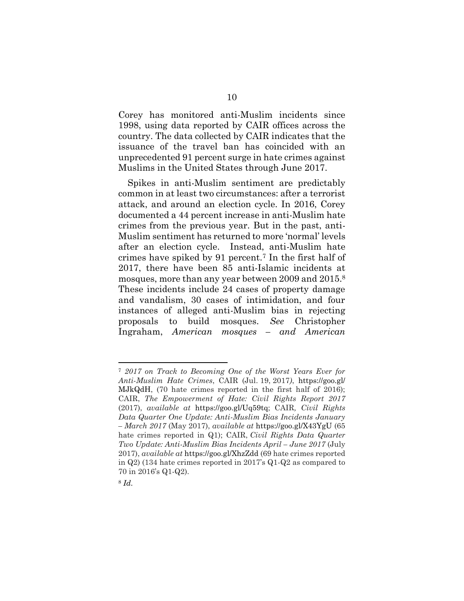Corey has monitored anti-Muslim incidents since 1998, using data reported by CAIR offices across the country. The data collected by CAIR indicates that the issuance of the travel ban has coincided with an unprecedented 91 percent surge in hate crimes against Muslims in the United States through June 2017.

Spikes in anti-Muslim sentiment are predictably common in at least two circumstances: after a terrorist attack, and around an election cycle. In 2016, Corey documented a 44 percent increase in anti-Muslim hate crimes from the previous year. But in the past, anti-Muslim sentiment has returned to more 'normal' levels after an election cycle. Instead, anti-Muslim hate crimes have spiked by 91 percent.<sup>7</sup> In the first half of 2017, there have been 85 anti-Islamic incidents at mosques, more than any year between 2009 and 2015.<sup>8</sup> These incidents include 24 cases of property damage and vandalism, 30 cases of intimidation, and four instances of alleged anti-Muslim bias in rejecting proposals to build mosques. *See* Christopher Ingraham, *American mosques – and American* 

<sup>7</sup> *2017 on Track to Becoming One of the Worst Years Ever for Anti-Muslim Hate Crimes*, CAIR (Jul. 19, 2017*)*, https://goo.gl/ MJkQdH, (70 hate crimes reported in the first half of 2016); CAIR, *The Empowerment of Hate: Civil Rights Report 2017* (2017), *available at* https://goo.gl/Uq59tq; CAIR*, Civil Rights Data Quarter One Update: Anti-Muslim Bias Incidents January – March 2017* (May 2017), *available at* https://goo.gl/X43YgU (65 hate crimes reported in Q1); CAIR, *Civil Rights Data Quarter Two Update: Anti-Muslim Bias Incidents April – June 2017* (July 2017), *available at* https://goo.gl/XhzZdd (69 hate crimes reported in Q2) (134 hate crimes reported in 2017's Q1-Q2 as compared to 70 in 2016's Q1-Q2).

<sup>8</sup> *Id.*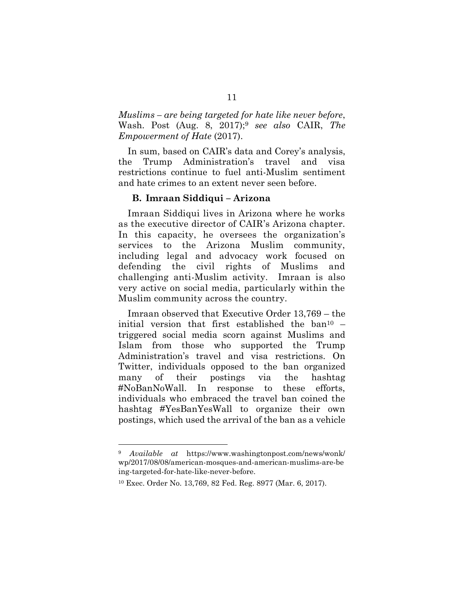*Muslims – are being targeted for hate like never before*, Wash. Post (Aug. 8, 2017);<sup>9</sup> *see also* CAIR, *The Empowerment of Hate* (2017).

In sum, based on CAIR's data and Corey's analysis, the Trump Administration's travel and visa restrictions continue to fuel anti-Muslim sentiment and hate crimes to an extent never seen before.

#### **B. Imraan Siddiqui – Arizona**

Imraan Siddiqui lives in Arizona where he works as the executive director of CAIR's Arizona chapter. In this capacity, he oversees the organization's services to the Arizona Muslim community, including legal and advocacy work focused on defending the civil rights of Muslims and challenging anti-Muslim activity. Imraan is also very active on social media, particularly within the Muslim community across the country.

Imraan observed that Executive Order 13,769 – the initial version that first established the  $ban^{10}$  – triggered social media scorn against Muslims and Islam from those who supported the Trump Administration's travel and visa restrictions. On Twitter, individuals opposed to the ban organized many of their postings via the hashtag #NoBanNoWall. In response to these efforts, individuals who embraced the travel ban coined the hashtag #YesBanYesWall to organize their own postings, which used the arrival of the ban as a vehicle

<sup>9</sup> *Available at* https://www.washingtonpost.com/news/wonk/ wp/2017/08/08/american-mosques-and-american-muslims-are-be ing-targeted-for-hate-like-never-before.

<sup>10</sup> Exec. Order No. 13,769, 82 Fed. Reg. 8977 (Mar. 6, 2017).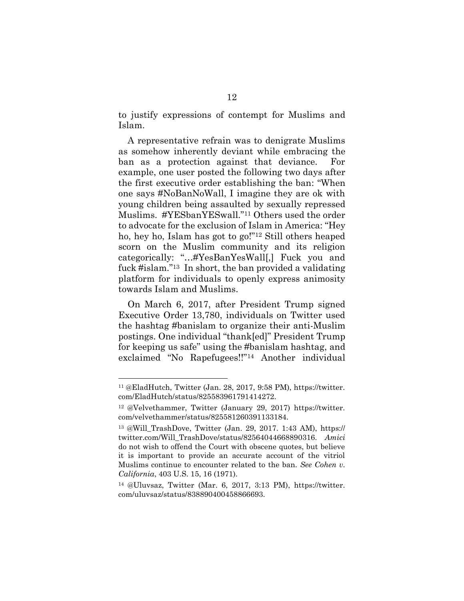to justify expressions of contempt for Muslims and Islam.

A representative refrain was to denigrate Muslims as somehow inherently deviant while embracing the ban as a protection against that deviance. For example, one user posted the following two days after the first executive order establishing the ban: "When one says #NoBanNoWall, I imagine they are ok with young children being assaulted by sexually repressed Muslims. #YESbanYESwall."<sup>11</sup> Others used the order to advocate for the exclusion of Islam in America: "Hey ho, hey ho, Islam has got to go!"<sup>12</sup> Still others heaped scorn on the Muslim community and its religion categorically: "…#YesBanYesWall[,] Fuck you and fuck #islam."<sup>13</sup> In short, the ban provided a validating platform for individuals to openly express animosity towards Islam and Muslims.

On March 6, 2017, after President Trump signed Executive Order 13,780, individuals on Twitter used the hashtag #banislam to organize their anti-Muslim postings. One individual "thank[ed]" President Trump for keeping us safe" using the #banislam hashtag, and exclaimed "No Rapefugees!!"<sup>14</sup> Another individual

<sup>11</sup> @EladHutch, Twitter (Jan. 28, 2017, 9:58 PM), https://twitter. com/EladHutch/status/825583961791414272.

<sup>12</sup> @Velvethammer, Twitter (January 29, 2017) https://twitter. com/velvethammer/status/825581260391133184.

<sup>13</sup> @Will\_TrashDove, Twitter (Jan. 29, 2017. 1:43 AM), https:// twitter.com/Will\_TrashDove/status/82564044668890316. *Amici*  do not wish to offend the Court with obscene quotes, but believe it is important to provide an accurate account of the vitriol Muslims continue to encounter related to the ban. *See Cohen v. California*, 403 U.S. 15, 16 (1971).

<sup>14</sup> @Uluvsaz, Twitter (Mar. 6, 2017, 3:13 PM), https://twitter. com/uluvsaz/status/838890400458866693.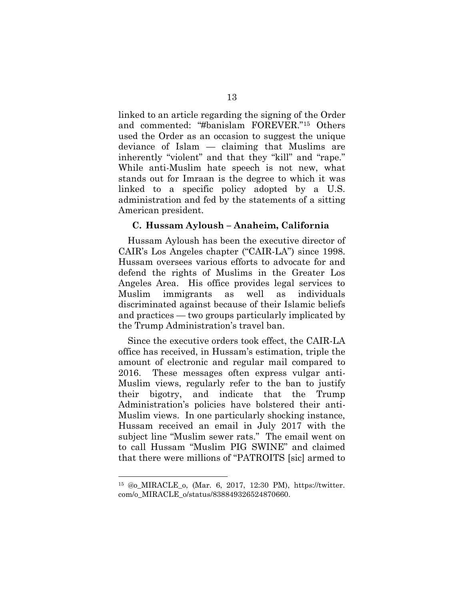linked to an article regarding the signing of the Order and commented: "#banislam FOREVER."<sup>15</sup> Others used the Order as an occasion to suggest the unique deviance of Islam — claiming that Muslims are inherently "violent" and that they "kill" and "rape." While anti-Muslim hate speech is not new, what stands out for Imraan is the degree to which it was linked to a specific policy adopted by a U.S. administration and fed by the statements of a sitting American president.

#### **C. Hussam Ayloush – Anaheim, California**

Hussam Ayloush has been the executive director of CAIR's Los Angeles chapter ("CAIR-LA") since 1998. Hussam oversees various efforts to advocate for and defend the rights of Muslims in the Greater Los Angeles Area. His office provides legal services to Muslim immigrants as well as individuals discriminated against because of their Islamic beliefs and practices — two groups particularly implicated by the Trump Administration's travel ban.

Since the executive orders took effect, the CAIR-LA office has received, in Hussam's estimation, triple the amount of electronic and regular mail compared to 2016. These messages often express vulgar anti-Muslim views, regularly refer to the ban to justify their bigotry, and indicate that the Trump Administration's policies have bolstered their anti-Muslim views. In one particularly shocking instance, Hussam received an email in July 2017 with the subject line "Muslim sewer rats." The email went on to call Hussam "Muslim PIG SWINE" and claimed that there were millions of "PATROITS [sic] armed to

<sup>15</sup> @o\_MIRACLE\_o, (Mar. 6, 2017, 12:30 PM), https://twitter. com/o\_MIRACLE\_o/status/838849326524870660.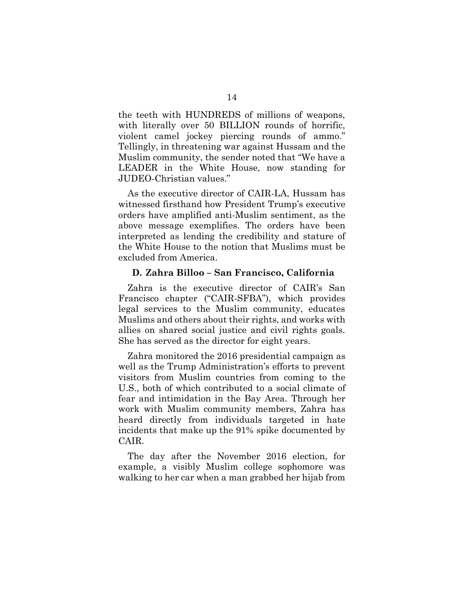the teeth with HUNDREDS of millions of weapons, with literally over 50 BILLION rounds of horrific, violent camel jockey piercing rounds of ammo." Tellingly, in threatening war against Hussam and the Muslim community, the sender noted that "We have a LEADER in the White House, now standing for JUDEO-Christian values."

As the executive director of CAIR-LA, Hussam has witnessed firsthand how President Trump's executive orders have amplified anti-Muslim sentiment, as the above message exemplifies. The orders have been interpreted as lending the credibility and stature of the White House to the notion that Muslims must be excluded from America.

#### **D. Zahra Billoo – San Francisco, California**

Zahra is the executive director of CAIR's San Francisco chapter ("CAIR-SFBA"), which provides legal services to the Muslim community, educates Muslims and others about their rights, and works with allies on shared social justice and civil rights goals. She has served as the director for eight years.

Zahra monitored the 2016 presidential campaign as well as the Trump Administration's efforts to prevent visitors from Muslim countries from coming to the U.S., both of which contributed to a social climate of fear and intimidation in the Bay Area. Through her work with Muslim community members, Zahra has heard directly from individuals targeted in hate incidents that make up the 91% spike documented by CAIR.

The day after the November 2016 election, for example, a visibly Muslim college sophomore was walking to her car when a man grabbed her hijab from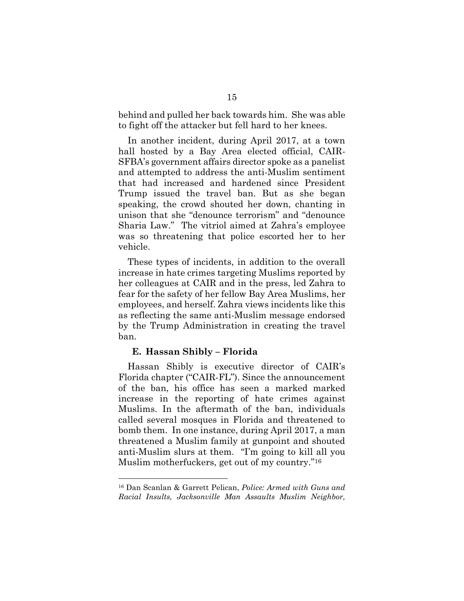behind and pulled her back towards him. She was able to fight off the attacker but fell hard to her knees.

In another incident, during April 2017, at a town hall hosted by a Bay Area elected official, CAIR-SFBA's government affairs director spoke as a panelist and attempted to address the anti-Muslim sentiment that had increased and hardened since President Trump issued the travel ban. But as she began speaking, the crowd shouted her down, chanting in unison that she "denounce terrorism" and "denounce Sharia Law." The vitriol aimed at Zahra's employee was so threatening that police escorted her to her vehicle.

These types of incidents, in addition to the overall increase in hate crimes targeting Muslims reported by her colleagues at CAIR and in the press, led Zahra to fear for the safety of her fellow Bay Area Muslims, her employees, and herself. Zahra views incidents like this as reflecting the same anti-Muslim message endorsed by the Trump Administration in creating the travel ban.

#### **E. Hassan Shibly – Florida**

 $\overline{a}$ 

Hassan Shibly is executive director of CAIR's Florida chapter ("CAIR-FL"). Since the announcement of the ban, his office has seen a marked marked increase in the reporting of hate crimes against Muslims. In the aftermath of the ban, individuals called several mosques in Florida and threatened to bomb them. In one instance, during April 2017, a man threatened a Muslim family at gunpoint and shouted anti-Muslim slurs at them. "I'm going to kill all you Muslim motherfuckers, get out of my country."<sup>16</sup>

<sup>16</sup> Dan Scanlan & Garrett Pelican, *Police: Armed with Guns and Racial Insults, Jacksonville Man Assaults Muslim Neighbor,*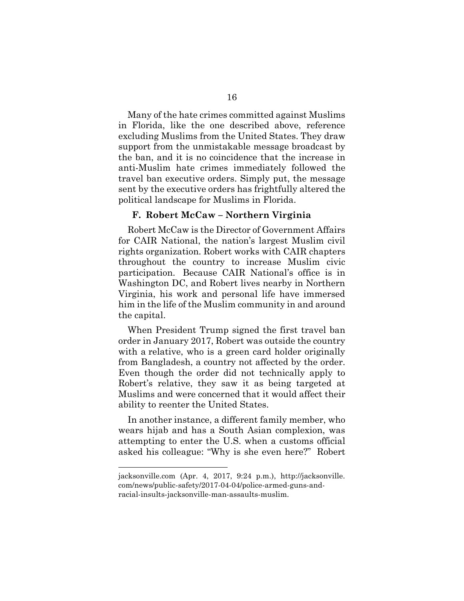Many of the hate crimes committed against Muslims in Florida, like the one described above, reference excluding Muslims from the United States. They draw support from the unmistakable message broadcast by the ban, and it is no coincidence that the increase in anti-Muslim hate crimes immediately followed the travel ban executive orders. Simply put, the message sent by the executive orders has frightfully altered the political landscape for Muslims in Florida.

#### **F. Robert McCaw – Northern Virginia**

Robert McCaw is the Director of Government Affairs for CAIR National, the nation's largest Muslim civil rights organization. Robert works with CAIR chapters throughout the country to increase Muslim civic participation. Because CAIR National's office is in Washington DC, and Robert lives nearby in Northern Virginia, his work and personal life have immersed him in the life of the Muslim community in and around the capital.

When President Trump signed the first travel ban order in January 2017, Robert was outside the country with a relative, who is a green card holder originally from Bangladesh, a country not affected by the order. Even though the order did not technically apply to Robert's relative, they saw it as being targeted at Muslims and were concerned that it would affect their ability to reenter the United States.

In another instance, a different family member, who wears hijab and has a South Asian complexion, was attempting to enter the U.S. when a customs official asked his colleague: "Why is she even here?" Robert

jacksonville.com (Apr. 4, 2017, 9:24 p.m.), http://jacksonville. com/news/public-safety/2017-04-04/police-armed-guns-andracial-insults-jacksonville-man-assaults-muslim.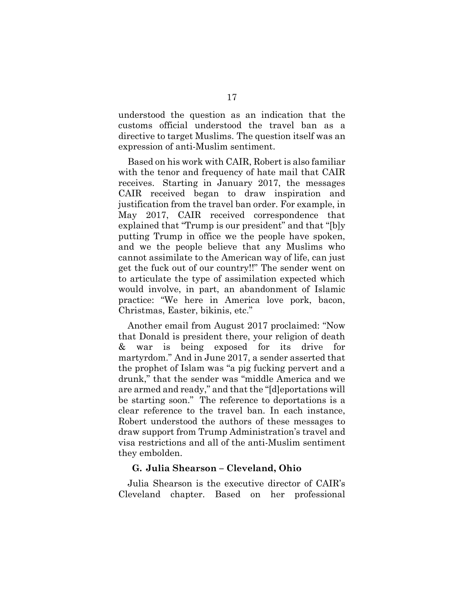understood the question as an indication that the customs official understood the travel ban as a directive to target Muslims. The question itself was an expression of anti-Muslim sentiment.

Based on his work with CAIR, Robert is also familiar with the tenor and frequency of hate mail that CAIR receives. Starting in January 2017, the messages CAIR received began to draw inspiration and justification from the travel ban order. For example, in May 2017, CAIR received correspondence that explained that "Trump is our president" and that "[b]y putting Trump in office we the people have spoken, and we the people believe that any Muslims who cannot assimilate to the American way of life, can just get the fuck out of our country!!" The sender went on to articulate the type of assimilation expected which would involve, in part, an abandonment of Islamic practice: "We here in America love pork, bacon, Christmas, Easter, bikinis, etc."

Another email from August 2017 proclaimed: "Now that Donald is president there, your religion of death & war is being exposed for its drive for martyrdom." And in June 2017, a sender asserted that the prophet of Islam was "a pig fucking pervert and a drunk," that the sender was "middle America and we are armed and ready," and that the "[d]eportations will be starting soon." The reference to deportations is a clear reference to the travel ban. In each instance, Robert understood the authors of these messages to draw support from Trump Administration's travel and visa restrictions and all of the anti-Muslim sentiment they embolden.

#### **G. Julia Shearson – Cleveland, Ohio**

Julia Shearson is the executive director of CAIR's Cleveland chapter. Based on her professional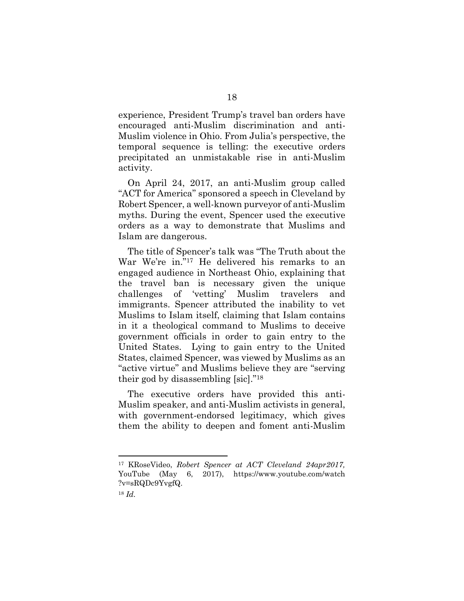experience, President Trump's travel ban orders have encouraged anti-Muslim discrimination and anti-Muslim violence in Ohio. From Julia's perspective, the temporal sequence is telling: the executive orders precipitated an unmistakable rise in anti-Muslim activity.

On April 24, 2017, an anti-Muslim group called "ACT for America" sponsored a speech in Cleveland by Robert Spencer, a well-known purveyor of anti-Muslim myths. During the event, Spencer used the executive orders as a way to demonstrate that Muslims and Islam are dangerous.

The title of Spencer's talk was "The Truth about the War We're in."<sup>17</sup> He delivered his remarks to an engaged audience in Northeast Ohio, explaining that the travel ban is necessary given the unique challenges of 'vetting' Muslim travelers and immigrants. Spencer attributed the inability to vet Muslims to Islam itself, claiming that Islam contains in it a theological command to Muslims to deceive government officials in order to gain entry to the United States. Lying to gain entry to the United States, claimed Spencer, was viewed by Muslims as an "active virtue" and Muslims believe they are "serving their god by disassembling [sic]."<sup>18</sup>

The executive orders have provided this anti-Muslim speaker, and anti-Muslim activists in general, with government-endorsed legitimacy, which gives them the ability to deepen and foment anti-Muslim

<sup>17</sup> KRoseVideo, *Robert Spencer at ACT Cleveland 24apr2017,*  YouTube (May 6, 2017), https://www.youtube.com/watch ?v=sRQDc9YvgfQ.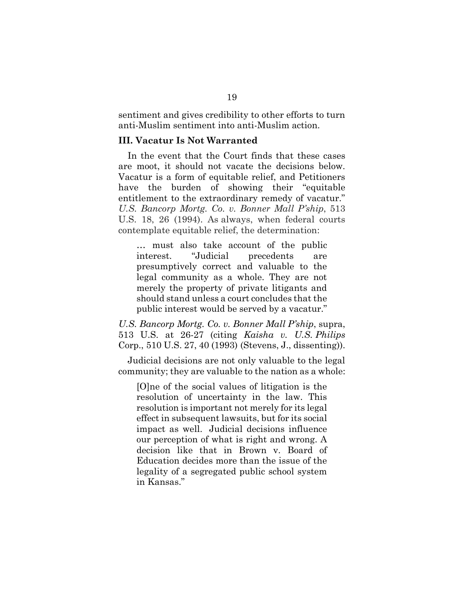sentiment and gives credibility to other efforts to turn anti-Muslim sentiment into anti-Muslim action.

#### **III. Vacatur Is Not Warranted**

In the event that the Court finds that these cases are moot, it should not vacate the decisions below. Vacatur is a form of equitable relief, and Petitioners have the burden of showing their "equitable entitlement to the extraordinary remedy of vacatur." *U.S. Bancorp Mortg. Co. v. Bonner Mall P'ship*, 513 U.S. 18, 26 (1994). As always, when federal courts contemplate equitable relief, the determination:

… must also take account of the public interest. "Judicial precedents are presumptively correct and valuable to the legal community as a whole. They are not merely the property of private litigants and should stand unless a court concludes that the public interest would be served by a vacatur."

*U.S. Bancorp Mortg. Co. v. Bonner Mall P'ship*, supra, 513 U.S. at 26-27 (citing *Kaisha v. U.S. Philips* Corp., 510 U.S. 27, 40 (1993) (Stevens, J., dissenting)).

Judicial decisions are not only valuable to the legal community; they are valuable to the nation as a whole:

[O]ne of the social values of litigation is the resolution of uncertainty in the law. This resolution is important not merely for its legal effect in subsequent lawsuits, but for its social impact as well. Judicial decisions influence our perception of what is right and wrong. A decision like that in Brown v. Board of Education decides more than the issue of the legality of a segregated public school system in Kansas."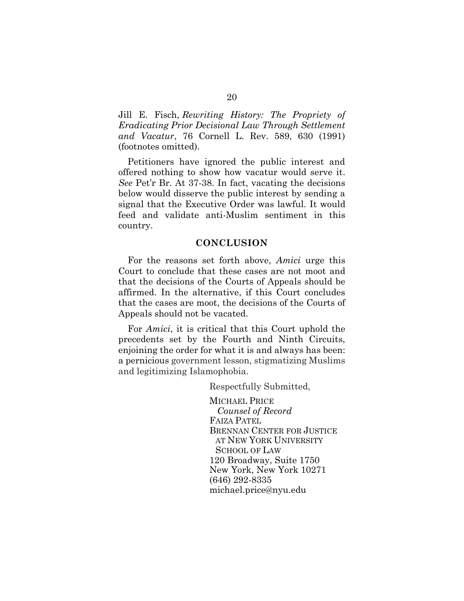Jill E. Fisch, *Rewriting History: The Propriety of Eradicating Prior Decisional Law Through Settlement and Vacatur*, 76 Cornell L. Rev. 589, 630 (1991) (footnotes omitted).

Petitioners have ignored the public interest and offered nothing to show how vacatur would serve it. *See* Pet'r Br. At 37-38. In fact, vacating the decisions below would disserve the public interest by sending a signal that the Executive Order was lawful. It would feed and validate anti-Muslim sentiment in this country.

#### **CONCLUSION**

For the reasons set forth above, *Amici* urge this Court to conclude that these cases are not moot and that the decisions of the Courts of Appeals should be affirmed. In the alternative, if this Court concludes that the cases are moot, the decisions of the Courts of Appeals should not be vacated.

For *Amici*, it is critical that this Court uphold the precedents set by the Fourth and Ninth Circuits, enjoining the order for what it is and always has been: a pernicious government lesson, stigmatizing Muslims and legitimizing Islamophobia.

Respectfully Submitted,

MICHAEL PRICE  *Counsel of Record* FAIZA PATEL BRENNAN CENTER FOR JUSTICE AT NEW YORK UNIVERSITY SCHOOL OF LAW 120 Broadway, Suite 1750 New York, New York 10271 (646) 292-8335 michael.price@nyu.edu